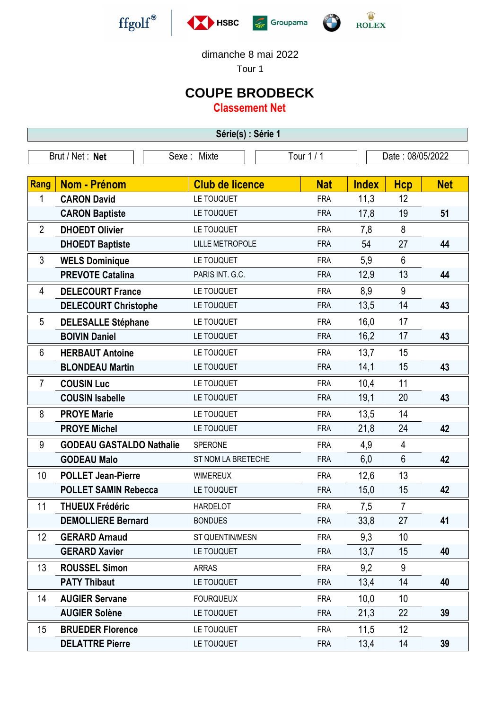







dimanche 8 mai 2022

Tour 1

## **COUPE BRODBECK**

**Classement Net**

| Série(s) : Série 1 |                                 |                        |            |                  |                |            |  |  |  |  |
|--------------------|---------------------------------|------------------------|------------|------------------|----------------|------------|--|--|--|--|
|                    | Brut / Net: Net                 | Sexe: Mixte            | Tour 1 / 1 | Date: 08/05/2022 |                |            |  |  |  |  |
|                    |                                 |                        |            |                  |                |            |  |  |  |  |
| Rang               | <b>Nom - Prénom</b>             | <b>Club de licence</b> | <b>Nat</b> | <b>Index</b>     | <b>Hcp</b>     | <b>Net</b> |  |  |  |  |
| 1                  | <b>CARON David</b>              | LE TOUQUET             | <b>FRA</b> | 11,3             | 12             |            |  |  |  |  |
|                    | <b>CARON Baptiste</b>           | LE TOUQUET             | <b>FRA</b> | 17,8             | 19             | 51         |  |  |  |  |
| $\overline{2}$     | <b>DHOEDT Olivier</b>           | LE TOUQUET             | <b>FRA</b> | 7,8              | 8              |            |  |  |  |  |
|                    | <b>DHOEDT Baptiste</b>          | <b>LILLE METROPOLE</b> | <b>FRA</b> | 54               | 27             | 44         |  |  |  |  |
| 3                  | <b>WELS Dominique</b>           | LE TOUQUET             | <b>FRA</b> | 5,9              | 6              |            |  |  |  |  |
|                    | <b>PREVOTE Catalina</b>         | PARIS INT. G.C.        | <b>FRA</b> | 12,9             | 13             | 44         |  |  |  |  |
| 4                  | <b>DELECOURT France</b>         | LE TOUQUET             | <b>FRA</b> | 8,9              | 9              |            |  |  |  |  |
|                    | <b>DELECOURT Christophe</b>     | LE TOUQUET             | <b>FRA</b> | 13,5             | 14             | 43         |  |  |  |  |
| 5                  | <b>DELESALLE Stéphane</b>       | LE TOUQUET             | <b>FRA</b> | 16,0             | 17             |            |  |  |  |  |
|                    | <b>BOIVIN Daniel</b>            | LE TOUQUET             | <b>FRA</b> | 16,2             | 17             | 43         |  |  |  |  |
| 6                  | <b>HERBAUT Antoine</b>          | LE TOUQUET             | <b>FRA</b> | 13,7             | 15             |            |  |  |  |  |
|                    | <b>BLONDEAU Martin</b>          | LE TOUQUET             | <b>FRA</b> | 14,1             | 15             | 43         |  |  |  |  |
| $\overline{7}$     | <b>COUSIN Luc</b>               | LE TOUQUET             | <b>FRA</b> | 10,4             | 11             |            |  |  |  |  |
|                    | <b>COUSIN Isabelle</b>          | LE TOUQUET             | <b>FRA</b> | 19,1             | 20             | 43         |  |  |  |  |
| 8                  | <b>PROYE Marie</b>              | LE TOUQUET             | <b>FRA</b> | 13,5             | 14             |            |  |  |  |  |
|                    | <b>PROYE Michel</b>             | LE TOUQUET             | <b>FRA</b> | 21,8             | 24             | 42         |  |  |  |  |
| 9                  | <b>GODEAU GASTALDO Nathalie</b> | SPERONE                | <b>FRA</b> | 4,9              | 4              |            |  |  |  |  |
|                    | <b>GODEAU Malo</b>              | ST NOM LA BRETECHE     | <b>FRA</b> | 6,0              | 6              | 42         |  |  |  |  |
| 10                 | <b>POLLET Jean-Pierre</b>       | <b>WIMEREUX</b>        | <b>FRA</b> | 12,6             | 13             |            |  |  |  |  |
|                    | <b>POLLET SAMIN Rebecca</b>     | LE TOUQUET             | <b>FRA</b> | 15,0             | 15             | 42         |  |  |  |  |
| 11                 | <b>THUEUX Frédéric</b>          | <b>HARDELOT</b>        | <b>FRA</b> | 7,5              | $\overline{7}$ |            |  |  |  |  |
|                    | <b>DEMOLLIERE Bernard</b>       | <b>BONDUES</b>         | <b>FRA</b> | 33,8             | 27             | 41         |  |  |  |  |
| 12                 | <b>GERARD Arnaud</b>            | ST QUENTIN/MESN        | <b>FRA</b> | 9,3              | 10             |            |  |  |  |  |
|                    | <b>GERARD Xavier</b>            | LE TOUQUET             | <b>FRA</b> | 13,7             | 15             | 40         |  |  |  |  |
| 13                 | <b>ROUSSEL Simon</b>            | <b>ARRAS</b>           | <b>FRA</b> | 9,2              | 9              |            |  |  |  |  |
|                    | <b>PATY Thibaut</b>             | LE TOUQUET             | <b>FRA</b> | 13,4             | 14             | 40         |  |  |  |  |
| 14                 | <b>AUGIER Servane</b>           | <b>FOURQUEUX</b>       | <b>FRA</b> | 10,0             | 10             |            |  |  |  |  |
|                    | <b>AUGIER Solène</b>            | LE TOUQUET             | <b>FRA</b> | 21,3             | 22             | 39         |  |  |  |  |
| 15                 | <b>BRUEDER Florence</b>         | LE TOUQUET             | <b>FRA</b> | 11,5             | 12             |            |  |  |  |  |
|                    | <b>DELATTRE Pierre</b>          | LE TOUQUET             | <b>FRA</b> | 13,4             | 14             | 39         |  |  |  |  |